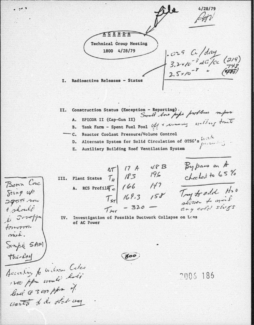$4/28/79$ AGEN-DA **Technical Group Meeting**  $1. c24$  Ce / day<br>3.2410<sup>-3</sup> dci/ce (219)<br>2.5×10<sup>-8</sup> (475) 1800 4/28/79 I. Radioactive Releases - Status

II. Construction Status (Exception - Reporting).<br>Strait base pipe problems mpor A. EPICOR II (Cap-Gun II)

- B. Tank Farm Spent Fuel Pool off + maning exiding traits
- C. Reactor Coolant Pressure/Volume Control
	- D. Alternate System for Solid Circulation of OTSG's  $\frac{1}{4}$

E. Auxiliary Building Roof Ventilation System

By pass on A III. Plant Status  $T_H$  17 A 48 B charled to 65% A. RCS Profile  $\begin{bmatrix} 1/66 & 1/17 \end{bmatrix}$ Try to add H20  $T_{ST}$  169.3  $158$ stone to nois any cold sligs  $T_{per}$  - 320.

Investigation of Possible Ductwork Collapse on Loss IV. of AC Power

 $800$ 

 $2005, 185$ 

According to Wilson Color 1200 ppm unuli holi level @ 3000 ppm of wanti del obel una

Bonn Cnc

Sting up

 $2955.700$ 

& should  $k = 3$ 

forverre. nied.

Semple SAM

the Lay